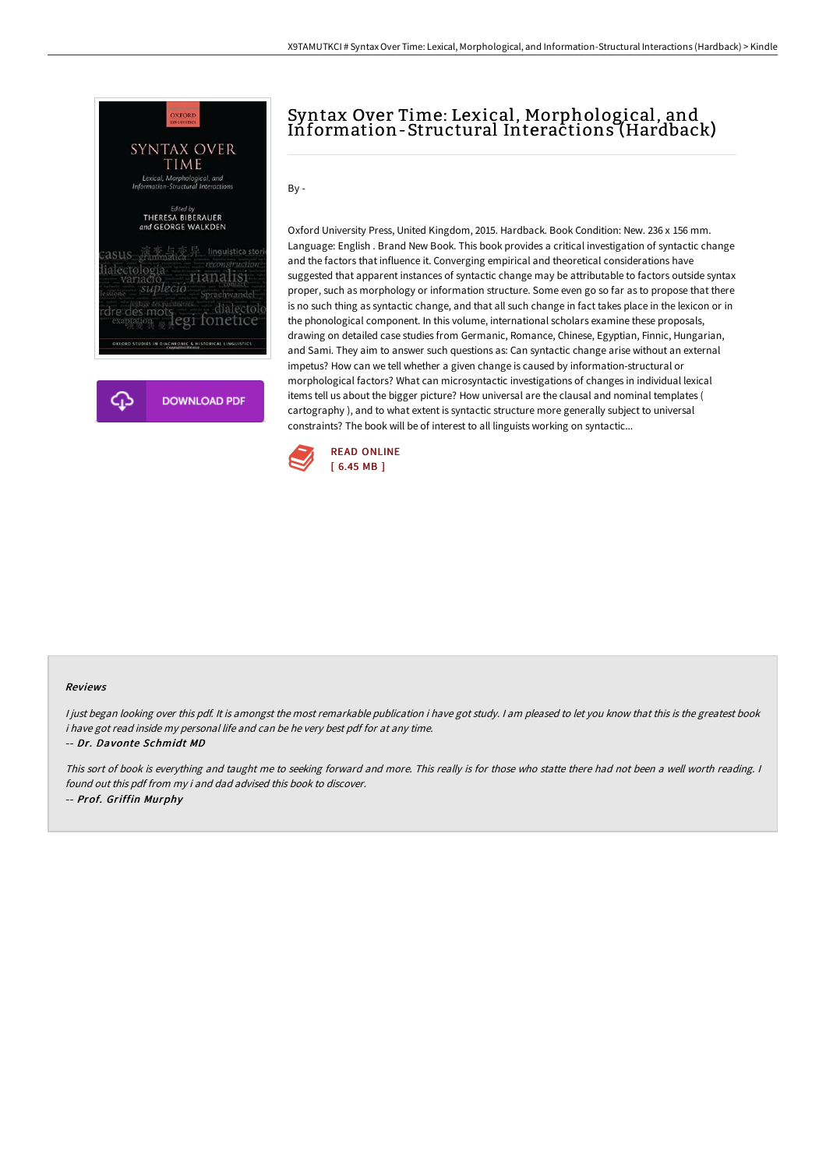

# Syntax Over Time: Lexical, Morphological, and Information-Structural Interactions (Hardback)

 $Bv -$ 

Oxford University Press, United Kingdom, 2015. Hardback. Book Condition: New. 236 x 156 mm. Language: English . Brand New Book. This book provides a critical investigation of syntactic change and the factors that influence it. Converging empirical and theoretical considerations have suggested that apparent instances of syntactic change may be attributable to factors outside syntax proper, such as morphology or information structure. Some even go so far as to propose that there is no such thing as syntactic change, and that all such change in fact takes place in the lexicon or in the phonological component. In this volume, international scholars examine these proposals, drawing on detailed case studies from Germanic, Romance, Chinese, Egyptian, Finnic, Hungarian, and Sami. They aim to answer such questions as: Can syntactic change arise without an external impetus? How can we tell whether a given change is caused by information-structural or morphological factors? What can microsyntactic investigations of changes in individual lexical items tell us about the bigger picture? How universal are the clausal and nominal templates ( cartography ), and to what extent is syntactic structure more generally subject to universal constraints? The book will be of interest to all linguists working on syntactic...



#### Reviews

I just began looking over this pdf. It is amongst the most remarkable publication i have got study. I am pleased to let you know that this is the greatest book i have got read inside my personal life and can be he very best pdf for at any time.

-- Dr. Davonte Schmidt MD

This sort of book is everything and taught me to seeking forward and more. This really is for those who statte there had not been <sup>a</sup> well worth reading. <sup>I</sup> found out this pdf from my i and dad advised this book to discover. -- Prof. Griffin Murphy